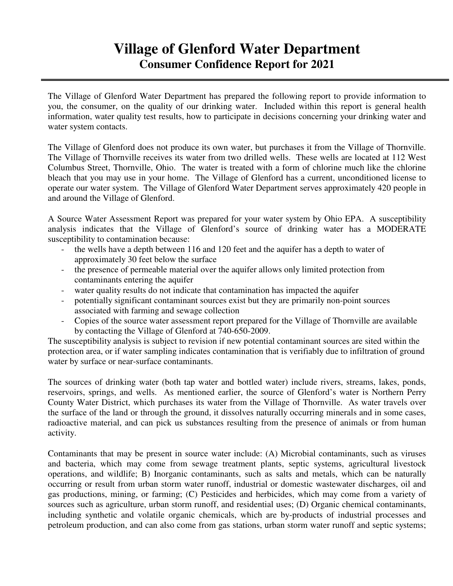## **Village of Glenford Water Department Consumer Confidence Report for 2021**

The Village of Glenford Water Department has prepared the following report to provide information to you, the consumer, on the quality of our drinking water. Included within this report is general health information, water quality test results, how to participate in decisions concerning your drinking water and water system contacts.

The Village of Glenford does not produce its own water, but purchases it from the Village of Thornville. The Village of Thornville receives its water from two drilled wells. These wells are located at 112 West Columbus Street, Thornville, Ohio. The water is treated with a form of chlorine much like the chlorine bleach that you may use in your home. The Village of Glenford has a current, unconditioned license to operate our water system. The Village of Glenford Water Department serves approximately 420 people in and around the Village of Glenford.

A Source Water Assessment Report was prepared for your water system by Ohio EPA. A susceptibility analysis indicates that the Village of Glenford's source of drinking water has a MODERATE susceptibility to contamination because:

- the wells have a depth between 116 and 120 feet and the aquifer has a depth to water of approximately 30 feet below the surface
- the presence of permeable material over the aquifer allows only limited protection from contaminants entering the aquifer
- water quality results do not indicate that contamination has impacted the aquifer
- potentially significant contaminant sources exist but they are primarily non-point sources associated with farming and sewage collection
- Copies of the source water assessment report prepared for the Village of Thornville are available by contacting the Village of Glenford at 740-650-2009.

The susceptibility analysis is subject to revision if new potential contaminant sources are sited within the protection area, or if water sampling indicates contamination that is verifiably due to infiltration of ground water by surface or near-surface contaminants.

The sources of drinking water (both tap water and bottled water) include rivers, streams, lakes, ponds, reservoirs, springs, and wells. As mentioned earlier, the source of Glenford's water is Northern Perry County Water District, which purchases its water from the Village of Thornville. As water travels over the surface of the land or through the ground, it dissolves naturally occurring minerals and in some cases, radioactive material, and can pick us substances resulting from the presence of animals or from human activity.

Contaminants that may be present in source water include: (A) Microbial contaminants, such as viruses and bacteria, which may come from sewage treatment plants, septic systems, agricultural livestock operations, and wildlife; B) Inorganic contaminants, such as salts and metals, which can be naturally occurring or result from urban storm water runoff, industrial or domestic wastewater discharges, oil and gas productions, mining, or farming; (C) Pesticides and herbicides, which may come from a variety of sources such as agriculture, urban storm runoff, and residential uses; (D) Organic chemical contaminants, including synthetic and volatile organic chemicals, which are by-products of industrial processes and petroleum production, and can also come from gas stations, urban storm water runoff and septic systems;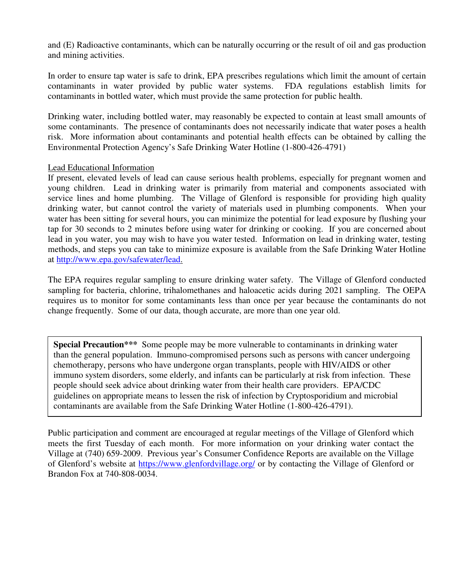and (E) Radioactive contaminants, which can be naturally occurring or the result of oil and gas production and mining activities.

In order to ensure tap water is safe to drink, EPA prescribes regulations which limit the amount of certain contaminants in water provided by public water systems. FDA regulations establish limits for contaminants in bottled water, which must provide the same protection for public health.

Drinking water, including bottled water, may reasonably be expected to contain at least small amounts of some contaminants. The presence of contaminants does not necessarily indicate that water poses a health risk. More information about contaminants and potential health effects can be obtained by calling the Environmental Protection Agency's Safe Drinking Water Hotline (1-800-426-4791)

## Lead Educational Information

If present, elevated levels of lead can cause serious health problems, especially for pregnant women and young children. Lead in drinking water is primarily from material and components associated with service lines and home plumbing. The Village of Glenford is responsible for providing high quality drinking water, but cannot control the variety of materials used in plumbing components. When your water has been sitting for several hours, you can minimize the potential for lead exposure by flushing your tap for 30 seconds to 2 minutes before using water for drinking or cooking. If you are concerned about lead in you water, you may wish to have you water tested. Information on lead in drinking water, testing methods, and steps you can take to minimize exposure is available from the Safe Drinking Water Hotline at http://www.epa.gov/safewater/lead.

The EPA requires regular sampling to ensure drinking water safety. The Village of Glenford conducted sampling for bacteria, chlorine, trihalomethanes and haloacetic acids during 2021 sampling. The OEPA requires us to monitor for some contaminants less than once per year because the contaminants do not change frequently. Some of our data, though accurate, are more than one year old.

**Special Precaution\*\*\*** Some people may be more vulnerable to contaminants in drinking water than the general population. Immuno-compromised persons such as persons with cancer undergoing chemotherapy, persons who have undergone organ transplants, people with HIV/AIDS or other immuno system disorders, some elderly, and infants can be particularly at risk from infection. These people should seek advice about drinking water from their health care providers. EPA/CDC guidelines on appropriate means to lessen the risk of infection by Cryptosporidium and microbial contaminants are available from the Safe Drinking Water Hotline (1-800-426-4791).

Public participation and comment are encouraged at regular meetings of the Village of Glenford which meets the first Tuesday of each month.For more information on your drinking water contact the Village at (740) 659-2009. Previous year's Consumer Confidence Reports are available on the Village of Glenford's website at https://www.glenfordvillage.org/ or by contacting the Village of Glenford or Brandon Fox at 740-808-0034.